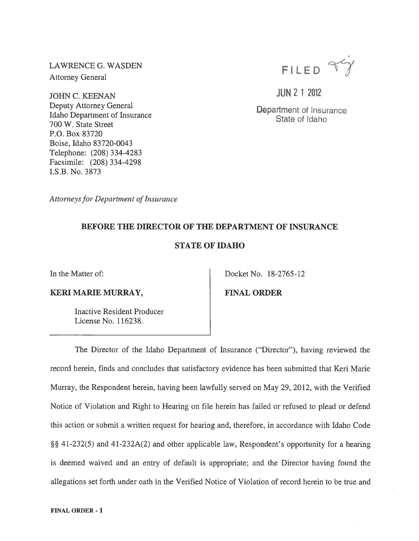LAWRENCEG. WASDEN Attorney General

JOHN C. KEENAN Deputy Attorney General Idaho Department of Insurance 700 W. State Street P.O. Box 83720 Boise, Idaho 83720-0043 Telephone: (208) 334-4283 Facsimile: (208) 334-4298 I.S.B. No. 3873



**JUN** 2 1 2012

Department of Insurance State of Idaho

*Attorneys for Department of Insurance* 

## BEFORE THE DIRECTOR OF THE DEPARTMENT OF INSURANCE

## STATE OF IDAHO

In the Matter of:

## KERI MARIE MURRAY,

FINAL ORDER

Docket No. 18-2765-12

Inactive Resident Producer License No. 116238.

The Director of the Idaho Department of Insurance ("Director"), having reviewed the record herein, finds and concludes that satisfactory evidence has been submitted that Keri Marie Murray, the Respondent herein, having been lawfully served on May 29, 2012, with the Verified Notice of Violation and Right to Hearing on file herein has failed or refused to plead or defend this action or submit a written request for hearing and, therefore, in accordance with Idaho Code §§ 41-232(5) and 41-232A(2) and other applicable law, Respondent's opportunity for a hearing is deemed waived and an entry of default is appropriate; and the Director having found the allegations set forth under oath in the Verified Notice of Violation of record herein to be true and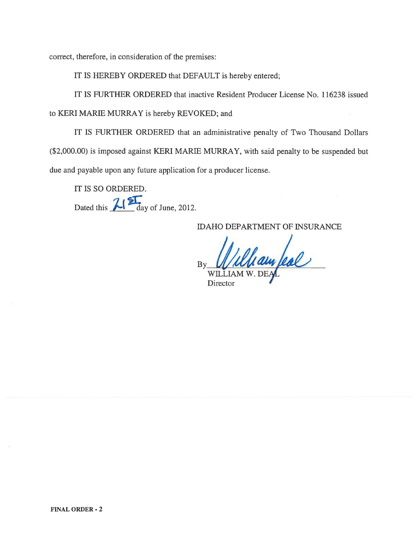correct, therefore, in consideration of the premises:

IT IS HEREBY ORDERED that DEFAULT is hereby entered;

IT IS FURTHER ORDERED that inactive Resident Producer License No. 116238 issued

to KERI MARIE MURRAY is hereby REVOKED; and

IT IS FURTHER ORDERED that an administrative penalty of Two Thousand Dollars (\$2,000.00) is imposed against KERI MARIE MURRAY, with said penalty to be suspended but due and payable upon any future application for a producer license.

IT IS SO ORDERED. Dated this  $\frac{2!}{\text{day of June, 2012}}$ .

IDAHO DEPARTMENT OF INSURANCE

 $_{\rm{By}}$  . Which and place WILLIAM W. DE **Director**